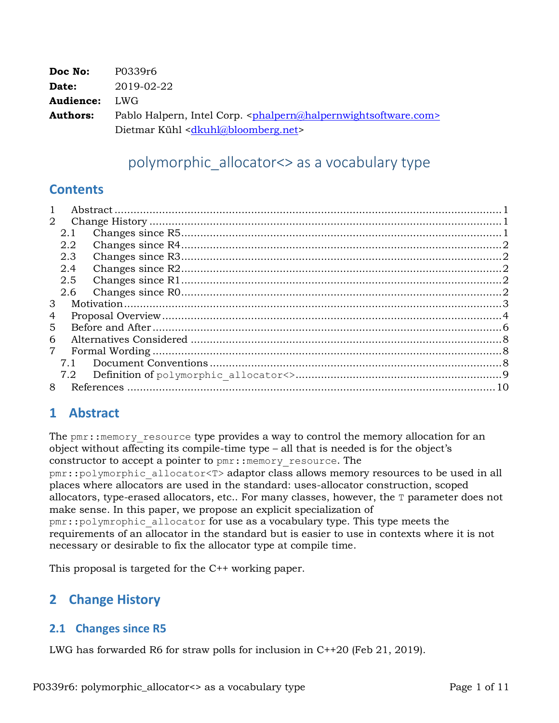| Doc No:         | P0339r6                                                                                            |
|-----------------|----------------------------------------------------------------------------------------------------|
| Date:           | 2019-02-22                                                                                         |
| Audience:       | LWG                                                                                                |
| <b>Authors:</b> | Pablo Halpern, Intel Corp. <phalpern@halpernwightsoftware.com></phalpern@halpernwightsoftware.com> |
|                 | Dietmar Kühl <dkuhl@bloomberg.net></dkuhl@bloomberg.net>                                           |

# polymorphic\_allocator<> as a vocabulary type

## **Contents**

| $\mathbf{1}$   |     |  |  |  |
|----------------|-----|--|--|--|
| $\overline{2}$ |     |  |  |  |
|                | 2.1 |  |  |  |
|                | 2.2 |  |  |  |
|                | 2.3 |  |  |  |
|                | 2.4 |  |  |  |
|                | 2.5 |  |  |  |
|                | 2.6 |  |  |  |
| 3              |     |  |  |  |
| 4              |     |  |  |  |
| 5              |     |  |  |  |
| 6              |     |  |  |  |
| 7              |     |  |  |  |
|                | 7.1 |  |  |  |
|                | 7.2 |  |  |  |
| 8              |     |  |  |  |

# **1 Abstract**

The pmr:: memory resource type provides a way to control the memory allocation for an object without affecting its compile-time type – all that is needed is for the object's constructor to accept a pointer to  $pm:$ : memory resource. The

pmr::polymorphic\_allocator<T> adaptor class allows memory resources to be used in all places where allocators are used in the standard: uses-allocator construction, scoped allocators, type-erased allocators, etc.. For many classes, however, the T parameter does not make sense. In this paper, we propose an explicit specialization of pmr::polymrophic\_allocator for use as a vocabulary type. This type meets the requirements of an allocator in the standard but is easier to use in contexts where it is not

This proposal is targeted for the C++ working paper.

necessary or desirable to fix the allocator type at compile time.

# **2 Change History**

## **2.1 Changes since R5**

LWG has forwarded R6 for straw polls for inclusion in C++20 (Feb 21, 2019).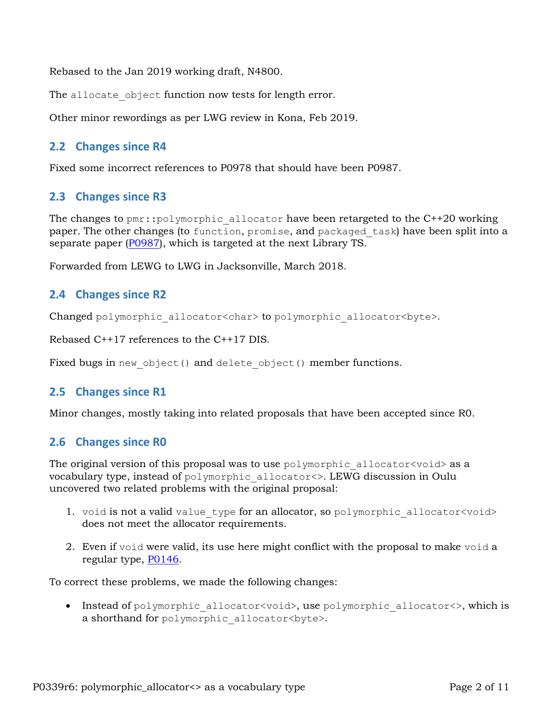Rebased to the Jan 2019 working draft, N4800.

The allocate object function now tests for length error.

Other minor rewordings as per LWG review in Kona, Feb 2019.

#### **2.2 Changes since R4**

Fixed some incorrect references to P0978 that should have been P0987.

#### **2.3 Changes since R3**

The changes to  $pm$ ::polymorphic allocator have been retargeted to the C++20 working paper. The other changes (to function, promise, and packaged task) have been split into a separate paper [\(P0987](https://wg21.link/P0987)), which is targeted at the next Library TS.

Forwarded from LEWG to LWG in Jacksonville, March 2018.

#### **2.4 Changes since R2**

Changed polymorphic allocator<char> to polymorphic allocator<br/>sbyte>.

Rebased C++17 references to the C++17 DIS.

Fixed bugs in new object() and delete object() member functions.

#### **2.5 Changes since R1**

Minor changes, mostly taking into related proposals that have been accepted since R0.

#### **2.6 Changes since R0**

The original version of this proposal was to use  $polymorphic$  allocator $\langle void \rangle$  as a vocabulary type, instead of polymorphic\_allocator<>. LEWG discussion in Oulu uncovered two related problems with the original proposal:

- 1. void is not a valid value type for an allocator, so polymorphic allocator<void> does not meet the allocator requirements.
- 2. Even if void were valid, its use here might conflict with the proposal to make void a regular type, [P0146.](http://www.open-std.org/JTC1/SC22/WG21/docs/papers/2016/p0146r1.html)

To correct these problems, we made the following changes:

• Instead of polymorphic allocator<void>, use polymorphic allocator<>, which is a shorthand for polymorphic allocator<br/>byte>.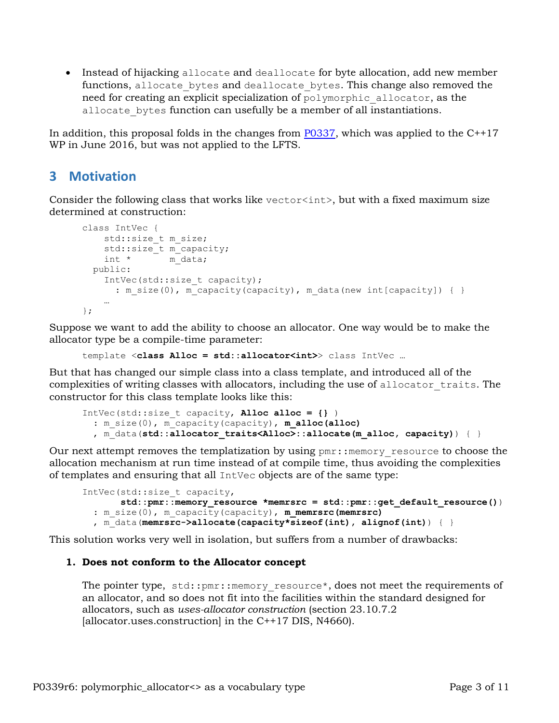• Instead of hijacking allocate and deallocate for byte allocation, add new member functions, allocate bytes and deallocate bytes. This change also removed the need for creating an explicit specialization of polymorphic\_allocator, as the allocate bytes function can usefully be a member of all instantiations.

In addition, this proposal folds in the changes from  $P0337$ , which was applied to the  $C^{++17}$ WP in June 2016, but was not applied to the LFTS.

## **3 Motivation**

Consider the following class that works like vector<int>, but with a fixed maximum size determined at construction:

```
class IntVec {
   std::size t m size;
   std::size t m capacity;
   int * m data;
  public:
    IntVec(std::size_t capacity);
      : m_size(0), m_capacity(capacity), m_data(new int[capacity]) { }
 …
};
```
Suppose we want to add the ability to choose an allocator. One way would be to make the allocator type be a compile-time parameter:

```
template <class Alloc = std::allocator<int>> class IntVec …
```
But that has changed our simple class into a class template, and introduced all of the complexities of writing classes with allocators, including the use of allocator\_traits. The constructor for this class template looks like this:

```
IntVec(std::size_t capacity, Alloc alloc = {} )
  : m_size(0), m_capacity(capacity), m_alloc(alloc)
  , m_data(std::allocator traits<Alloc>::allocate(m_alloc, capacity)) { }
```
Our next attempt removes the templatization by using  $pm:$ : memory resource to choose the allocation mechanism at run time instead of at compile time, thus avoiding the complexities of templates and ensuring that all IntVec objects are of the same type:

```
IntVec(std::size_t capacity,
        std::pmr::memory_resource *memrsrc = std::pmr::get_default_resource())
  : m size(0), m capacity(capacity), m memrsrc(memrsrc)
   , m_data(memrsrc->allocate(capacity*sizeof(int), alignof(int)) { }
```
This solution works very well in isolation, but suffers from a number of drawbacks:

#### **1. Does not conform to the Allocator concept**

The pointer type, std:: pmr:: memory resource\*, does not meet the requirements of an allocator, and so does not fit into the facilities within the standard designed for allocators, such as *uses-allocator construction* (section 23.10.7.2 [allocator.uses.construction] in the C++17 DIS, N4660).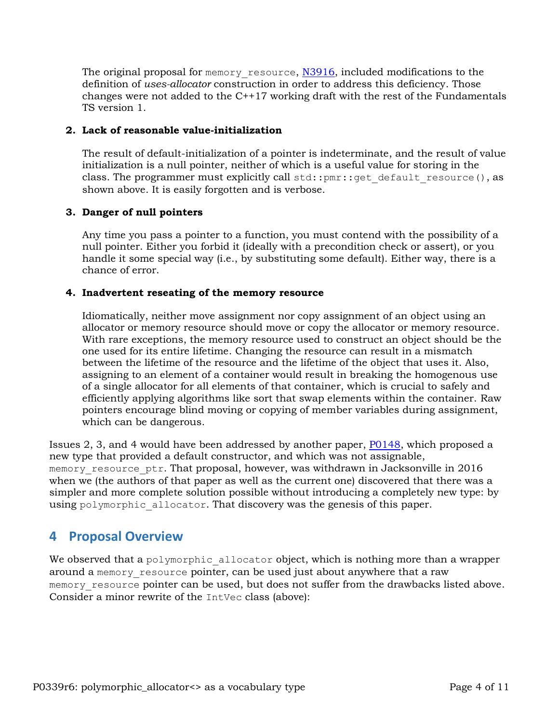The original proposal for memory resource, [N3916,](http://www.open-std.org/JTC1/SC22/WG21/docs/papers/2014/n3916.pdf) included modifications to the definition of *uses-allocator* construction in order to address this deficiency. Those changes were not added to the C++17 working draft with the rest of the Fundamentals TS version 1.

#### **2. Lack of reasonable value-initialization**

The result of default-initialization of a pointer is indeterminate, and the result of value initialization is a null pointer, neither of which is a useful value for storing in the class. The programmer must explicitly call std:: $pm:$ :get default resource(), as shown above. It is easily forgotten and is verbose.

#### **3. Danger of null pointers**

Any time you pass a pointer to a function, you must contend with the possibility of a null pointer. Either you forbid it (ideally with a precondition check or assert), or you handle it some special way (i.e., by substituting some default). Either way, there is a chance of error.

#### **4. Inadvertent reseating of the memory resource**

Idiomatically, neither move assignment nor copy assignment of an object using an allocator or memory resource should move or copy the allocator or memory resource. With rare exceptions, the memory resource used to construct an object should be the one used for its entire lifetime. Changing the resource can result in a mismatch between the lifetime of the resource and the lifetime of the object that uses it. Also, assigning to an element of a container would result in breaking the homogenous use of a single allocator for all elements of that container, which is crucial to safely and efficiently applying algorithms like sort that swap elements within the container. Raw pointers encourage blind moving or copying of member variables during assignment, which can be dangerous.

Issues 2, 3, and 4 would have been addressed by another paper, [P0148,](http://www.open-std.org/JTC1/SC22/WG21/docs/papers/2015/p0148r0.pdf) which proposed a new type that provided a default constructor, and which was not assignable, memory resource ptr. That proposal, however, was withdrawn in Jacksonville in 2016 when we (the authors of that paper as well as the current one) discovered that there was a simpler and more complete solution possible without introducing a completely new type: by using polymorphic allocator. That discovery was the genesis of this paper.

## **4 Proposal Overview**

We observed that a polymorphic allocator object, which is nothing more than a wrapper around a memory resource pointer, can be used just about anywhere that a raw memory resource pointer can be used, but does not suffer from the drawbacks listed above. Consider a minor rewrite of the IntVec class (above):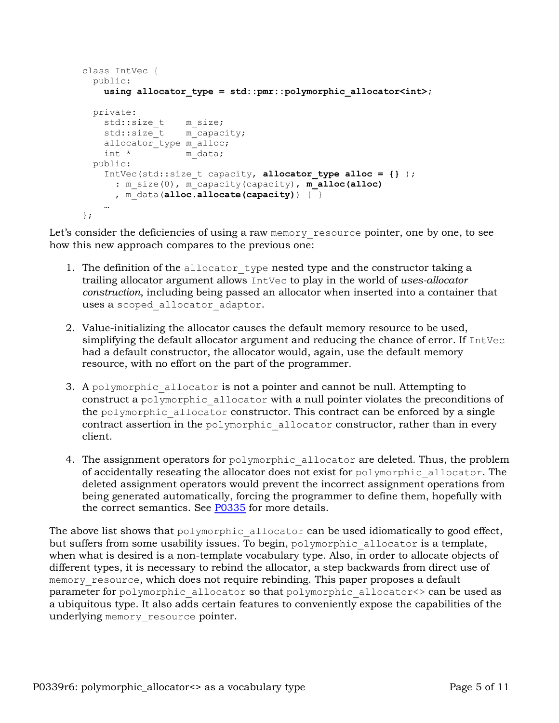```
class IntVec {
  public:
    using allocator_type = std::pmr::polymorphic_allocator<int>;
  private:
std::size t m size;
std::size t m capacity;
   allocator type m alloc;
   int * m data;
  public:
    IntVec(std::size_t capacity, allocator_type alloc = {} );
      : m_size(0), m_capacity(capacity), m_alloc(alloc)
      , m_data(alloc.allocate(capacity)) { }
 …
};
```
Let's consider the deficiencies of using a raw memory resource pointer, one by one, to see how this new approach compares to the previous one:

- 1. The definition of the allocator type nested type and the constructor taking a trailing allocator argument allows IntVec to play in the world of *uses-allocator construction*, including being passed an allocator when inserted into a container that uses a scoped allocator adaptor.
- 2. Value-initializing the allocator causes the default memory resource to be used, simplifying the default allocator argument and reducing the chance of error. If IntVec had a default constructor, the allocator would, again, use the default memory resource, with no effort on the part of the programmer.
- 3. A polymorphic allocator is not a pointer and cannot be null. Attempting to construct a polymorphic\_allocator with a null pointer violates the preconditions of the polymorphic allocator constructor. This contract can be enforced by a single contract assertion in the polymorphic allocator constructor, rather than in every client.
- 4. The assignment operators for polymorphic allocator are deleted. Thus, the problem of accidentally reseating the allocator does not exist for polymorphic\_allocator. The deleted assignment operators would prevent the incorrect assignment operations from being generated automatically, forcing the programmer to define them, hopefully with the correct semantics. See [P0335](http://www.open-std.org/JTC1/SC22/WG21/docs/papers/2016/p0335r0.html) for more details.

The above list shows that  $polymorphic$  allocator can be used idiomatically to good effect, but suffers from some usability issues. To begin,  $polymorphic$  allocator is a template, when what is desired is a non-template vocabulary type. Also, in order to allocate objects of different types, it is necessary to rebind the allocator, a step backwards from direct use of memory resource, which does not require rebinding. This paper proposes a default parameter for polymorphic\_allocator so that polymorphic\_allocator<> can be used as a ubiquitous type. It also adds certain features to conveniently expose the capabilities of the underlying memory resource pointer.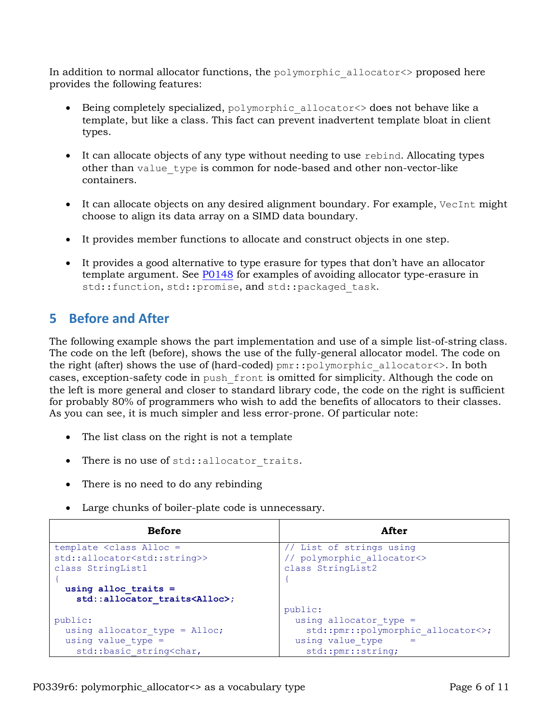In addition to normal allocator functions, the polymorphic\_allocator<> proposed here provides the following features:

- Being completely specialized, polymorphic allocator<> does not behave like a template, but like a class. This fact can prevent inadvertent template bloat in client types.
- It can allocate objects of any type without needing to use rebind. Allocating types other than value\_type is common for node-based and other non-vector-like containers.
- It can allocate objects on any desired alignment boundary. For example, VecInt might choose to align its data array on a SIMD data boundary.
- It provides member functions to allocate and construct objects in one step.
- It provides a good alternative to type erasure for types that don't have an allocator template argument. See [P0148](http://www.open-std.org/JTC1/SC22/WG21/docs/papers/2015/p0148r0.pdf) for examples of avoiding allocator type-erasure in std::function, std::promise, and std::packaged task.

## **5 Before and After**

The following example shows the part implementation and use of a simple list-of-string class. The code on the left (before), shows the use of the fully-general allocator model. The code on the right (after) shows the use of (hard-coded) pmr::polymorphic\_allocator<>. In both cases, exception-safety code in push\_front is omitted for simplicity. Although the code on the left is more general and closer to standard library code, the code on the right is sufficient for probably 80% of programmers who wish to add the benefits of allocators to their classes. As you can see, it is much simpler and less error-prone. Of particular note:

- The list class on the right is not a template
- There is no use of std:: allocator traits.
- There is no need to do any rebinding
- Large chunks of boiler-plate code is unnecessary.

| <b>Before</b>                                                             | After                              |
|---------------------------------------------------------------------------|------------------------------------|
| template <class alloc="&lt;/td"><td>// List of strings using</td></class> | // List of strings using           |
| std::allocator <std::string>&gt;</std::string>                            | // polymorphic allocator<>         |
| class StringList1                                                         | class StringList2                  |
|                                                                           |                                    |
| using alloc traits $=$                                                    |                                    |
| std::allocator traits <alloc>;</alloc>                                    |                                    |
|                                                                           | public:                            |
| public:                                                                   | using allocator type $=$           |
| using allocator type = $\text{Alice}$ ;                                   | std::pmr::polymorphic allocator<>; |
| using value type $=$                                                      | using value type                   |
| std::basic string <char,< td=""><td>std::pmr::string;</td></char,<>       | std::pmr::string;                  |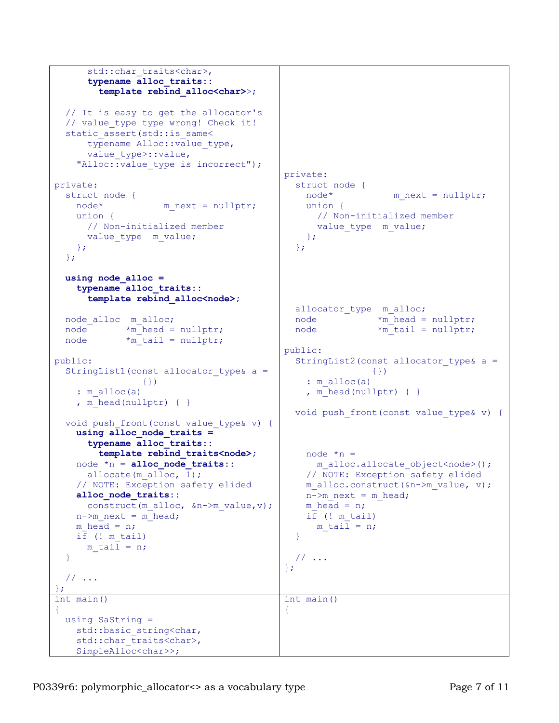```
std::char traits<char>,
       typename alloc_traits::
         template rebind_alloc<char>>;
   // It is easy to get the allocator's
  // value type type wrong! Check it!
  static assert(std::is same<
      typename Alloc:: value type,
      value type>::value,
    "Alloc::value type is incorrect");
private:
  struct node {
   node* m_next = nullptr;
    union {
      // Non-initialized member
     value type m value;
    };
   };
 using node_alloc =
    typename alloc_traits::
       template rebind_alloc<node>;
   node_alloc m_alloc;
 node *m_head = nullptr;
 node *m_tail = nullptr;
public:
  StringList1(const allocator type& a =
                 {})
    : m_alloc(a)
    , m head(nullptr) { }
   void push_front(const value_type& v) {
   using alloc node traits =
       typename alloc_traits::
         template rebind_traits<node>;
    node *n = alloc_node_traits::
     allocate(m alloc, 1);
    // NOTE: Exception safety elided
     alloc_node_traits::
      construct(m_alloc, &n->m_value,v);
   n->m_next = m_head;
   m head = n;
    if (! m_tail)
     m tail = n;
   }
  // ...
};
                                          private:
                                             struct node {
                                             node* m_next = nullptr;
                                              union {
                                                 // Non-initialized member
                                               value type m value;
                                               };
                                             };
                                             allocator_type m_alloc;
                                            node *m head = nullptr;
                                            node *m_tail = nullptr;
                                          public:
                                             StringList2(const allocator_type& a =
                                                            {})
                                                : m_alloc(a)
                                               , m head(nullptr) { }
                                            void push front(const value type& v) {
                                              node *n =m_alloc.allocate_object<node>();
                                               // NOTE: Exception safety elided
                                              m_alloc.construct(&n->m_value, v);
                                              n->m_next = m_head;
                                              m head = n;
                                               if (! m_tail)
                                                m tail = n;
                                             }
                                             // ...
                                          };
int main()
\left\{ \right. using SaString =
   std::basic string<char,
    std::char traits<char>,
    SimpleAlloc<char>>;
                                          int main()
                                          {
```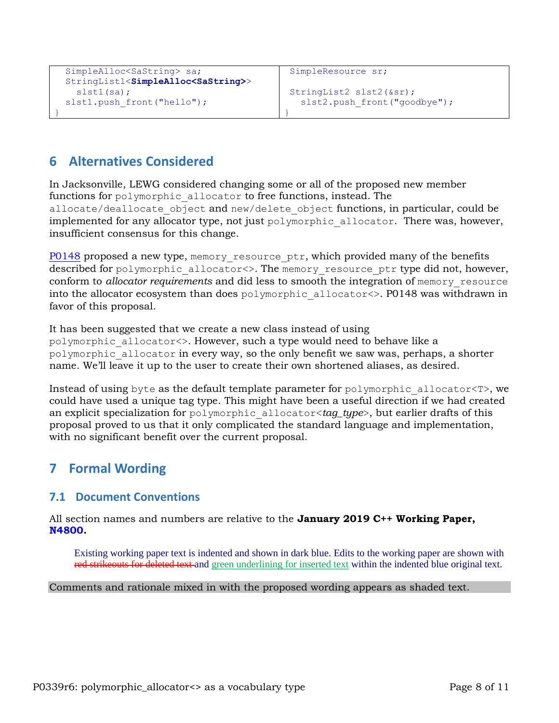```
SimpleAlloc<SaString> sa;
 StringList1<SimpleAlloc<SaString>>
   slst1(sa);
slst1.push front("hello");
```

```
SimpleResource sr;
```

```
StringList2 slst2(&sr);
 slst2.push front("goodbye");
```
# **6 Alternatives Considered**

}

In Jacksonville, LEWG considered changing some or all of the proposed new member functions for polymorphic allocator to free functions, instead. The allocate/deallocate object and new/delete object functions, in particular, could be implemented for any allocator type, not just polymorphic allocator. There was, however, insufficient consensus for this change.

}

[P0148](http://www.open-std.org/JTC1/SC22/WG21/docs/papers/2015/p0148r0.pdf) proposed a new type, memory resource ptr, which provided many of the benefits described for polymorphic allocator <>. The memory resource ptr type did not, however, conform to *allocator requirements* and did less to smooth the integration of memory\_resource into the allocator ecosystem than does polymorphic\_allocator<>. P0148 was withdrawn in favor of this proposal.

It has been suggested that we create a new class instead of using polymorphic\_allocator<>. However, such a type would need to behave like a polymorphic\_allocator in every way, so the only benefit we saw was, perhaps, a shorter name. We'll leave it up to the user to create their own shortened aliases, as desired.

Instead of using byte as the default template parameter for polymorphic\_allocator<T>, we could have used a unique tag type. This might have been a useful direction if we had created an explicit specialization for polymorphic\_allocator<*tag\_type*>, but earlier drafts of this proposal proved to us that it only complicated the standard language and implementation, with no significant benefit over the current proposal.

# **7 Formal Wording**

## **7.1 Document Conventions**

All section names and numbers are relative to the **January 2019 C++ Working Paper, N4800.**

Existing working paper text is indented and shown in dark blue. Edits to the working paper are shown with red strikeouts for deleted text and green underlining for inserted text within the indented blue original text.

#### Comments and rationale mixed in with the proposed wording appears as shaded text.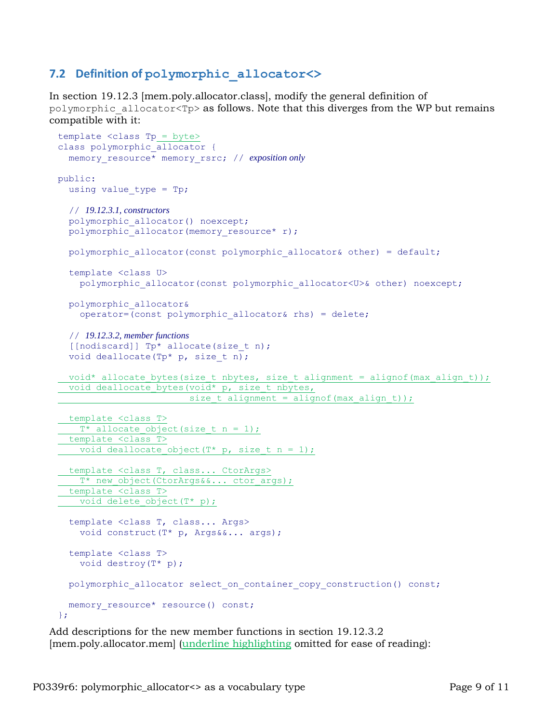### **7.2 Definition of polymorphic\_allocator<>**

In section 19.12.3 [mem.poly.allocator.class], modify the general definition of polymorphic allocator<Tp> as follows. Note that this diverges from the WP but remains compatible with it:

```
template <class Tp = byte>
class polymorphic allocator {
  memory_resource* memory_rsrc; // exposition only
public:
 using value type = Tp; // 19.12.3.1, constructors
  polymorphic allocator() noexcept;
 polymorphic_allocator(memory_resource*_r);
 polymorphic allocator(const polymorphic allocator& other) = default;
   template <class U>
    polymorphic allocator(const polymorphic allocator<U>& other) noexcept;
  polymorphic_allocator&
     operator=(const polymorphic_allocator& rhs) = delete;
   // 19.12.3.2, member functions
   [[nodiscard]] Tp* allocate(size_t n);
  void deallocate(Tp* p, size_t n);
 void* allocate bytes(size t nbytes, size t alignment = alignof(max align t));
 void deallocate bytes(void* p, size t nbytes,
                       size t alignment = alignof(max align t));
  template <class T>
  T* allocate object(size t n = 1);
  template <class T>
   void deallocate object(T* p, size_t n = 1);
  template <class T, class... CtorArgs>
  T* new object(CtorArgs&&... ctor args);
  template <class T>
  void delete object(T* p);
   template <class T, class... Args>
    void construct(T* p, Args&&... args);
   template <class T>
    void destroy(T* p);
 polymorphic allocator select on container copy construction() const;
 memory resource* resource() const;
};
```
Add descriptions for the new member functions in section 19.12.3.2 [mem.poly.allocator.mem] (underline highlighting omitted for ease of reading):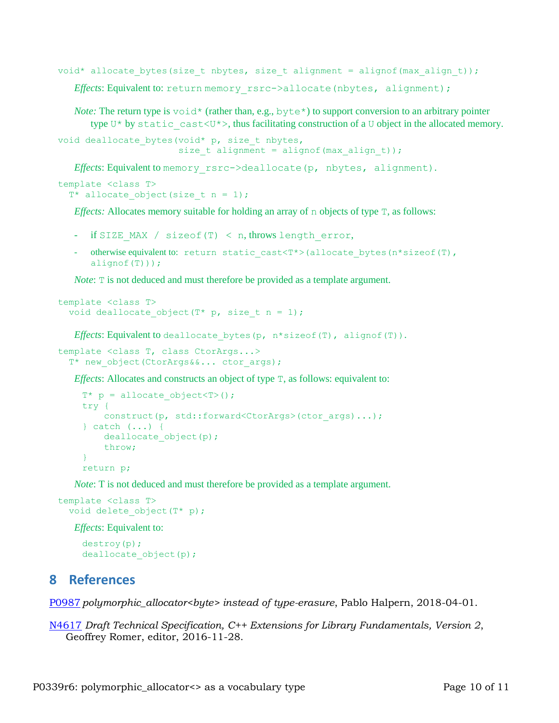void\* allocate bytes(size t nbytes, size t alignment = alignof(max align t)); *Effects*: Equivalent to: return memory rsrc->allocate(nbytes, alignment);

*Note:* The return type is  $\text{void*}$  (rather than, e.g., byte<sup>\*</sup>) to support conversion to an arbitrary pointer type U\* by static cast<U\*>, thus facilitating construction of a U object in the allocated memory.

```
void deallocate bytes(void* p, size_t nbytes,
                      size t alignment = alignof(max align t));
```
*Effects*: Equivalent to memory\_rsrc->deallocate(p, nbytes, alignment).

```
template <class T>
 T* allocate object(size t n = 1);
```
*Effects:* Allocates memory suitable for holding an array of n objects of type T, as follows:

- $if$  SIZE MAX / sizeof(T) < n, throws length error,
- *-* otherwise equivalent to: return static\_cast<T\*>(allocate\_bytes(n\*sizeof(T),  $alignof(T))$ ;

*Note*: T is not deduced and must therefore be provided as a template argument.

```
template <class T>
  void deallocate object(T^* p, size t n = 1);
```
*Effects*: Equivalent to deallocate bytes (p,  $n*$  sizeof(T), alignof(T)).

```
template <class T, class CtorArgs...>
  T* new object(CtorArgs&&... ctor args);
```
*Effects*: Allocates and constructs an object of type  $T$ , as follows: equivalent to:

```
T^* p = allocate object<T>();
try {
   construct(p, std::forward<CtorArgs>(ctor args)...);
} catch (...) {
   deallocate object(p);
    throw;
}
return p;
```
*Note*: T is not deduced and must therefore be provided as a template argument.

```
template <class T>
  void delete object(T* p);
```
*Effects*: Equivalent to:

```
destroy(p);
deallocate object(p);
```
## **8 References**

[P0987](https://wg21.link/P0987) *polymorphic\_allocator<byte> instead of type-erasure*, Pablo Halpern, 2018-04-01.

[N4617](http://www.open-std.org/jtc1/sc22/wg21/docs/papers/2016/n4617.pdf) *Draft Technical Specification, C++ Extensions for Library Fundamentals, Version 2*, Geoffrey Romer, editor, 2016-11-28.